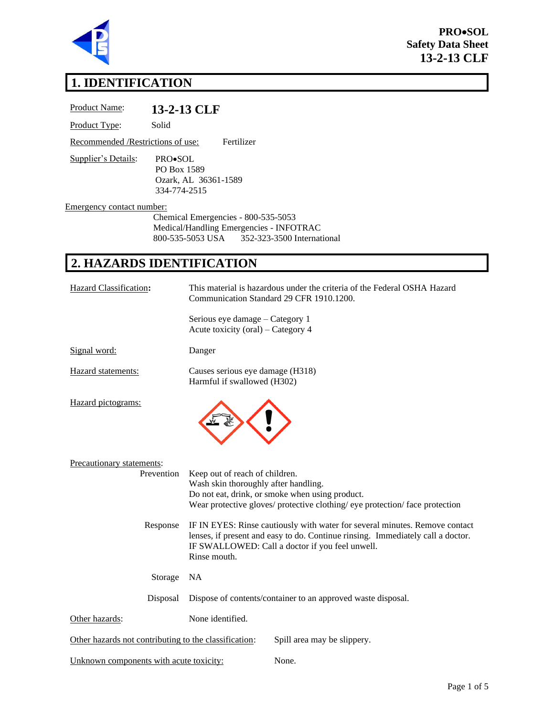

**PRO**•**SOL Safety Data Sheet 13-2-13 CLF**

# **1. IDENTIFICATION**

| Product Name:                                   | 13-2-13 CLF                                                    |                                                                                                                                                                                                                                   |  |  |
|-------------------------------------------------|----------------------------------------------------------------|-----------------------------------------------------------------------------------------------------------------------------------------------------------------------------------------------------------------------------------|--|--|
| Product Type:                                   | Solid                                                          |                                                                                                                                                                                                                                   |  |  |
| Recommended /Restrictions of use:<br>Fertilizer |                                                                |                                                                                                                                                                                                                                   |  |  |
| Supplier's Details:                             | PRO•SOL<br>PO Box 1589<br>Ozark, AL 36361-1589<br>334-774-2515 |                                                                                                                                                                                                                                   |  |  |
| Emergency contact number:                       |                                                                |                                                                                                                                                                                                                                   |  |  |
|                                                 |                                                                | Chemical Emergencies - 800-535-5053<br>Medical/Handling Emergencies - INFOTRAC<br>800-535-5053 USA<br>352-323-3500 International                                                                                                  |  |  |
| 2. HAZARDS IDENTIFICATION                       |                                                                |                                                                                                                                                                                                                                   |  |  |
| Hazard Classification:                          |                                                                | This material is hazardous under the criteria of the Federal OSHA Hazard<br>Communication Standard 29 CFR 1910.1200.                                                                                                              |  |  |
|                                                 |                                                                | Serious eye damage – Category 1<br>Acute toxicity (oral) – Category 4                                                                                                                                                             |  |  |
| Signal word:                                    |                                                                | Danger                                                                                                                                                                                                                            |  |  |
| Hazard statements:                              |                                                                | Causes serious eye damage (H318)<br>Harmful if swallowed (H302)                                                                                                                                                                   |  |  |
| Hazard pictograms:                              |                                                                |                                                                                                                                                                                                                                   |  |  |
| Precautionary statements:                       | Prevention                                                     | Keep out of reach of children.<br>Wash skin thoroughly after handling.<br>Do not eat, drink, or smoke when using product.<br>Wear protective gloves/ protective clothing/ eye protection/ face protection                         |  |  |
| Response                                        |                                                                | IF IN EYES: Rinse cautiously with water for several minutes. Remove contact<br>lenses, if present and easy to do. Continue rinsing. Immediately call a doctor.<br>IF SWALLOWED: Call a doctor if you feel unwell.<br>Rinse mouth. |  |  |
|                                                 | Storage                                                        | <b>NA</b>                                                                                                                                                                                                                         |  |  |
|                                                 | Disposal                                                       | Dispose of contents/container to an approved waste disposal.                                                                                                                                                                      |  |  |

Other hazards not contributing to the classification: Spill area may be slippery.

None.

| Unknown components with acute toxicity: |  |  |  |
|-----------------------------------------|--|--|--|
|                                         |  |  |  |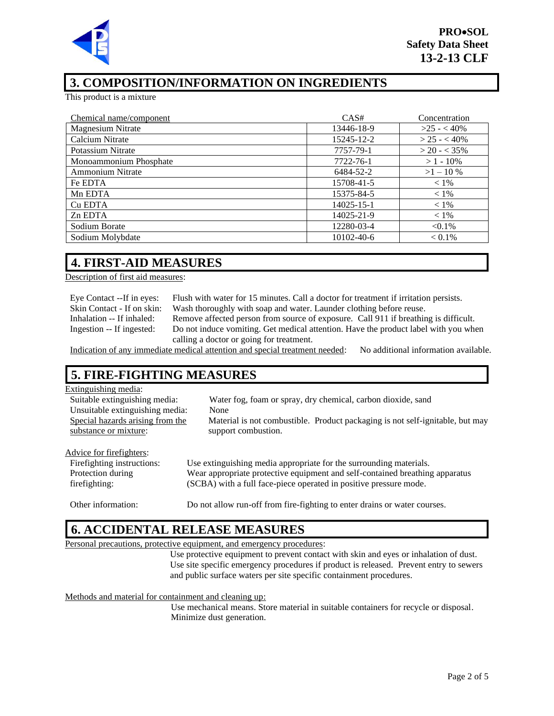

# **3. COMPOSITION/INFORMATION ON INGREDIENTS**

This product is a mixture

| Chemical name/component | CAS#       | Concentration  |
|-------------------------|------------|----------------|
| Magnesium Nitrate       | 13446-18-9 | $>25 - 40\%$   |
| Calcium Nitrate         | 15245-12-2 | $>$ 25 - < 40% |
| Potassium Nitrate       | 7757-79-1  | $>$ 20 - < 35% |
| Monoammonium Phosphate  | 7722-76-1  | $>1 - 10\%$    |
| <b>Ammonium Nitrate</b> | 6484-52-2  | $>1-10\%$      |
| Fe EDTA                 | 15708-41-5 | $< 1\%$        |
| Mn EDTA                 | 15375-84-5 | $< 1\%$        |
| Cu EDTA                 | 14025-15-1 | $< 1\%$        |
| Zn EDTA                 | 14025-21-9 | $< 1\%$        |
| Sodium Borate           | 12280-03-4 | $< 0.1\%$      |
| Sodium Molybdate        | 10102-40-6 | $< 0.1\%$      |

### **4. FIRST-AID MEASURES**

Description of first aid measures:

Eye Contact --If in eyes: Flush with water for 15 minutes. Call a doctor for treatment if irritation persists. Skin Contact - If on skin: Wash thoroughly with soap and water. Launder clothing before reuse. Inhalation -- If inhaled: Remove affected person from source of exposure. Call 911 if breathing is difficult. Ingestion -- If ingested: Do not induce vomiting. Get medical attention. Have the product label with you when calling a doctor or going for treatment.

Indication of any immediate medical attention and special treatment needed: No additional information available.

# **5. FIRE-FIGHTING MEASURES**

#### Extinguishing media:

| <b>Eathlethannel</b> mount       |                                                                               |
|----------------------------------|-------------------------------------------------------------------------------|
| Suitable extinguishing media:    | Water fog, foam or spray, dry chemical, carbon dioxide, sand                  |
| Unsuitable extinguishing media:  | None                                                                          |
| Special hazards arising from the | Material is not combustible. Product packaging is not self-ignitable, but may |
| substance or mixture:            | support combustion.                                                           |
|                                  |                                                                               |
| Advice for firefighters:         |                                                                               |
| Fire fighting instructions:      | Use extinguishing media appropriate for the surrounding materials.            |
| Protection during                | Wear appropriate protective equipment and self-contained breathing apparatus  |
| firefighting:                    | (SCBA) with a full face-piece operated in positive pressure mode.             |
|                                  |                                                                               |
| Other information:               | Do not allow run-off from fire-fighting to enter drains or water courses.     |

#### **6. ACCIDENTAL RELEASE MEASURES**

Personal precautions, protective equipment, and emergency procedures:

Use protective equipment to prevent contact with skin and eyes or inhalation of dust. Use site specific emergency procedures if product is released. Prevent entry to sewers and public surface waters per site specific containment procedures.

Methods and material for containment and cleaning up:

Use mechanical means. Store material in suitable containers for recycle or disposal. Minimize dust generation.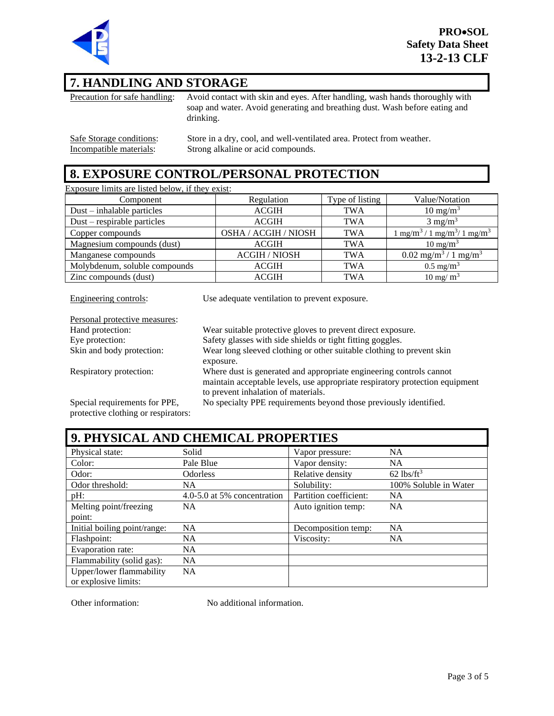

### **7. HANDLING AND STORAGE**

Precaution for safe handling: Avoid contact with skin and eyes. After handling, wash hands thoroughly with soap and water. Avoid generating and breathing dust. Wash before eating and drinking.

Safe Storage conditions: Store in a dry, cool, and well-ventilated area. Protect from weather.<br>Incompatible materials: Strong alkaline or acid compounds. Strong alkaline or acid compounds.

### **8. EXPOSURE CONTROL/PERSONAL PROTECTION**

Exposure limits are listed below, if they exist:

| Component                     | Regulation           | Type of listing | Value/Notation                                           |
|-------------------------------|----------------------|-----------------|----------------------------------------------------------|
| $Dust - inhalable particles$  | <b>ACGIH</b>         | <b>TWA</b>      | $10 \text{ mg/m}^3$                                      |
| $Dust$ – respirable particles | <b>ACGIH</b>         | <b>TWA</b>      | $3 \text{ mg/m}^3$                                       |
| Copper compounds              | OSHA / ACGIH / NIOSH | <b>TWA</b>      | $1 \text{ mg/m}^3 / 1 \text{ mg/m}^3 / 1 \text{ mg/m}^3$ |
| Magnesium compounds (dust)    | <b>ACGIH</b>         | <b>TWA</b>      | $10 \text{ mg/m}^3$                                      |
| Manganese compounds           | <b>ACGIH / NIOSH</b> | <b>TWA</b>      | $0.02$ mg/m <sup>3</sup> / 1 mg/m <sup>3</sup>           |
| Molybdenum, soluble compounds | <b>ACGIH</b>         | <b>TWA</b>      | $0.5 \text{ mg/m}^3$                                     |
| Zinc compounds (dust)         | <b>ACGIH</b>         | <b>TWA</b>      | $10 \text{ mg/m}^3$                                      |

Personal protective measures:

Engineering controls: Use adequate ventilation to prevent exposure.

| Personal protective measures:       |                                                                              |
|-------------------------------------|------------------------------------------------------------------------------|
| Hand protection:                    | Wear suitable protective gloves to prevent direct exposure.                  |
| Eye protection:                     | Safety glasses with side shields or tight fitting goggles.                   |
| Skin and body protection:           | Wear long sleeved clothing or other suitable clothing to prevent skin        |
|                                     | exposure.                                                                    |
| Respiratory protection:             | Where dust is generated and appropriate engineering controls cannot          |
|                                     | maintain acceptable levels, use appropriate respiratory protection equipment |
|                                     | to prevent inhalation of materials.                                          |
| Special requirements for PPE,       | No specialty PPE requirements beyond those previously identified.            |
| protective clothing or respirators: |                                                                              |

| 9. PHYSICAL AND CHEMICAL PROPERTIES |                             |                        |                          |
|-------------------------------------|-----------------------------|------------------------|--------------------------|
| Physical state:                     | Solid                       | Vapor pressure:        | <b>NA</b>                |
| Color:                              | Pale Blue                   | Vapor density:         | <b>NA</b>                |
| Odor:                               | <b>Odorless</b>             | Relative density       | $62$ lbs/ft <sup>3</sup> |
| Odor threshold:                     | NA                          | Solubility:            | 100% Soluble in Water    |
| $pH$ :                              | 4.0-5.0 at 5% concentration | Partition coefficient: | <b>NA</b>                |
| Melting point/freezing              | <b>NA</b>                   | Auto ignition temp:    | <b>NA</b>                |
| point:                              |                             |                        |                          |
| Initial boiling point/range:        | <b>NA</b>                   | Decomposition temp:    | <b>NA</b>                |
| Flashpoint:                         | <b>NA</b>                   | Viscosity:             | <b>NA</b>                |
| Evaporation rate:                   | <b>NA</b>                   |                        |                          |
| Flammability (solid gas):           | <b>NA</b>                   |                        |                          |
| Upper/lower flammability            | <b>NA</b>                   |                        |                          |
| or explosive limits:                |                             |                        |                          |

Other information: No additional information.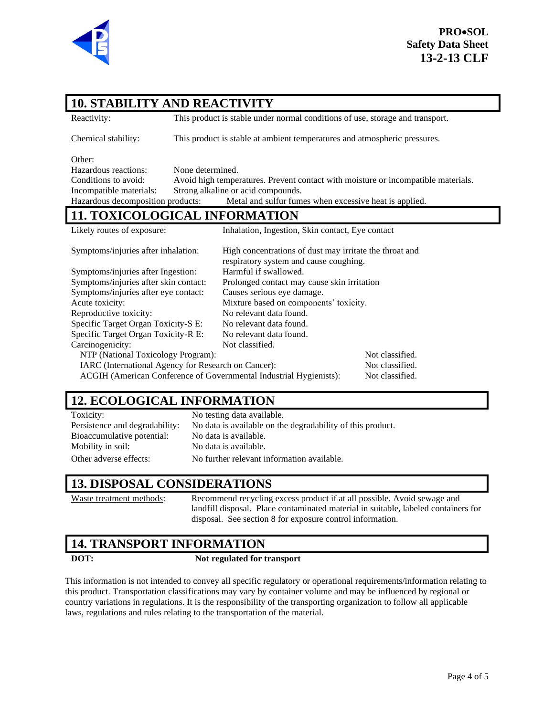

# **10. STABILITY AND REACTIVITY**

Reactivity: This product is stable under normal conditions of use, storage and transport.

Chemical stability: This product is stable at ambient temperatures and atmospheric pressures.

Other:

Hazardous reactions: None determined. Conditions to avoid: Avoid high temperatures. Prevent contact with moisture or incompatible materials. Incompatible materials: Strong alkaline or acid compounds. Hazardous decomposition products: Metal and sulfur fumes when excessive heat is applied.

### **11. TOXICOLOGICAL INFORMATION**

Likely routes of exposure: Inhalation, Ingestion, Skin contact, Eye contact Symptoms/injuries after inhalation: High concentrations of dust may irritate the throat and respiratory system and cause coughing. Symptoms/injuries after Ingestion: Harmful if swallowed. Symptoms/injuries after skin contact: Prolonged contact may cause skin irritation Symptoms/injuries after eye contact: Causes serious eye damage. Acute toxicity: Mixture based on components' toxicity. Reproductive toxicity: No relevant data found. Specific Target Organ Toxicity-S E: No relevant data found. Specific Target Organ Toxicity-R E: No relevant data found. Carcinogenicity: Not classified. NTP (National Toxicology Program): Not classified. IARC (International Agency for Research on Cancer): Not classified. ACGIH (American Conference of Governmental Industrial Hygienists): Not classified.

# **12. ECOLOGICAL INFORMATION**

Toxicity: No testing data available. Persistence and degradability: No data is available on the degradability of this product. Bioaccumulative potential: No data is available. Mobility in soil: No data is available. Other adverse effects: No further relevant information available.

### **13. DISPOSAL CONSIDERATIONS**

Waste treatment methods: Recommend recycling excess product if at all possible. Avoid sewage and landfill disposal. Place contaminated material in suitable, labeled containers for disposal. See section 8 for exposure control information.

## **14. TRANSPORT INFORMATION**

#### **DOT: Not regulated for transport**

This information is not intended to convey all specific regulatory or operational requirements/information relating to this product. Transportation classifications may vary by container volume and may be influenced by regional or country variations in regulations. It is the responsibility of the transporting organization to follow all applicable laws, regulations and rules relating to the transportation of the material.